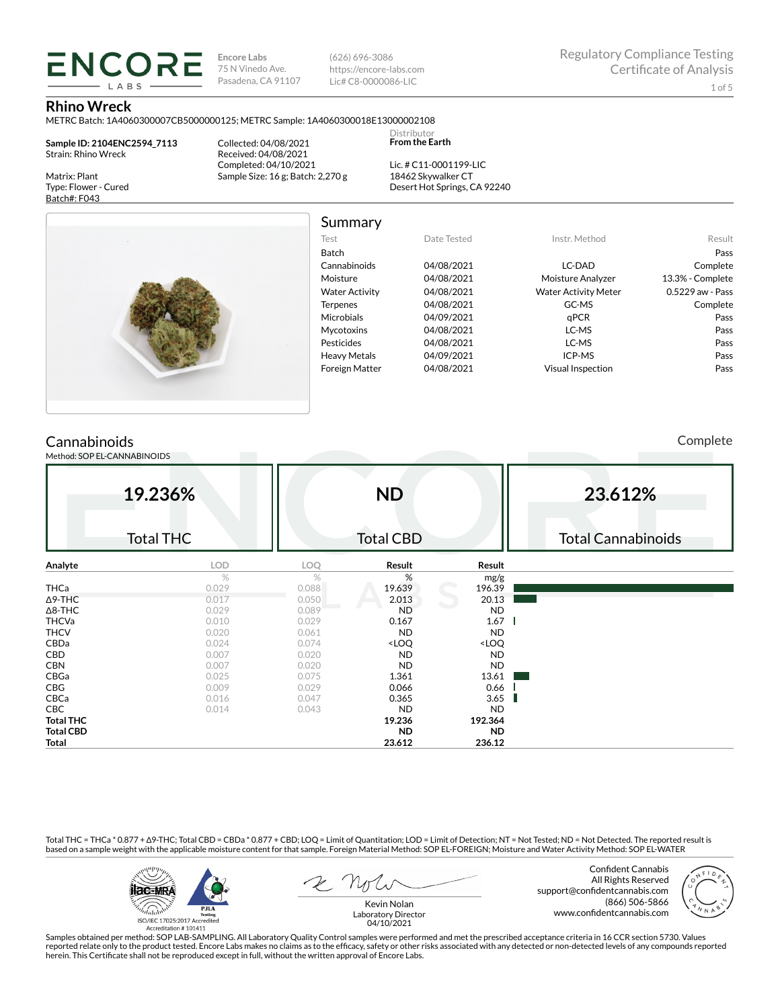**Encore Labs** 75 N Vinedo Ave. Pasadena, CA 91107

(626) 696-3086 https://encore-labs.com Lic# C8-0000086-LIC

Summary

Distributor **From the Earth**

#### **Rhino Wreck**

METRC Batch: 1A4060300007CB5000000125; METRC Sample: 1A4060300018E13000002108

**Sample ID: 2104ENC2594\_7113** Strain: Rhino Wreck

**ENCORE IARS** 

Matrix: Plant Type: Flower - Cured Batch#: F043

Collected: 04/08/2021 Received: 04/08/2021 Completed: 04/10/2021 Sample Size: 16 g; Batch: 2,270 g

Lic. # C11-0001199-LIC 18462 Skywalker CT Desert Hot Springs, CA 92240



#### Test Date Tested Instr. Method Result Batch Pass Cannabinoids 04/08/2021 LC-DAD Complete Moisture 04/08/2021 Moisture Analyzer 13.3% - Complete Water Activity  $04/08/2021$  Water Activity Meter 0.5229 aw - Pass Terpenes 04/08/2021 GC-MS Complete Microbials 04/09/2021 qPCR Pass Mycotoxins 04/08/2021 LC-MS Pass Pesticides 04/08/2021 LC-MS Pass Heavy Metals 04/09/2021 ICP-MS Pass Foreign Matter 04/08/2021 Visual Inspection Pass

# **Cannabinoids**

Method: SOP EL-CANNABINOIDS

Complete

|                  | 19.236%<br><b>Total THC</b> |       | <b>ND</b><br><b>Total CBD</b>                            |                              | 23.612%<br><b>Total Cannabinoids</b> |
|------------------|-----------------------------|-------|----------------------------------------------------------|------------------------------|--------------------------------------|
| Analyte          | <b>LOD</b>                  | LOQ   | Result                                                   | Result                       |                                      |
|                  | $\%$                        | %     | %                                                        | mg/g                         |                                      |
| <b>THCa</b>      | 0.029                       | 0.088 | 19.639                                                   | 196.39                       |                                      |
| $\Delta$ 9-THC   | 0.017                       | 0.050 | 2.013                                                    | 20.13                        |                                      |
| $\Delta$ 8-THC   | 0.029                       | 0.089 | <b>ND</b>                                                | <b>ND</b>                    |                                      |
| <b>THCVa</b>     | 0.010                       | 0.029 | 0.167                                                    | 1.67                         |                                      |
| <b>THCV</b>      | 0.020                       | 0.061 | <b>ND</b>                                                | <b>ND</b>                    |                                      |
| CBDa             | 0.024                       | 0.074 | <loq< td=""><td><loq< td=""><td></td></loq<></td></loq<> | <loq< td=""><td></td></loq<> |                                      |
| CBD              | 0.007                       | 0.020 | <b>ND</b>                                                | <b>ND</b>                    |                                      |
| <b>CBN</b>       | 0.007                       | 0.020 | <b>ND</b>                                                | ND                           |                                      |
| CBGa             | 0.025                       | 0.075 | 1.361                                                    | 13.61                        |                                      |
| CBG              | 0.009                       | 0.029 | 0.066                                                    | 0.66                         |                                      |
| CBCa             | 0.016                       | 0.047 | 0.365                                                    | 3.65                         |                                      |
| <b>CBC</b>       | 0.014                       | 0.043 | ND                                                       | <b>ND</b>                    |                                      |
| <b>Total THC</b> |                             |       | 19.236                                                   | 192.364                      |                                      |
| <b>Total CBD</b> |                             |       | <b>ND</b>                                                | ND.                          |                                      |
| Total            |                             |       | 23.612                                                   | 236.12                       |                                      |

Total THC = THCa \* 0.877 + ∆9-THC; Total CBD = CBDa \* 0.877 + CBD; LOQ = Limit of Quantitation; LOD = Limit of Detection; NT = Not Tested; ND = Not Detected. The reported result is based on a sample weight with the applicable moisture content for that sample. Foreign Material Method: SOP EL-FOREIGN; Moisture and Water Activity Method: SOP EL-WATER



Confident Cannabis All Rights Reserved support@confidentcannabis.com (866) 506-5866 www.confidentcannabis.com



Kevin Nolan Laboratory Director 04/10/2021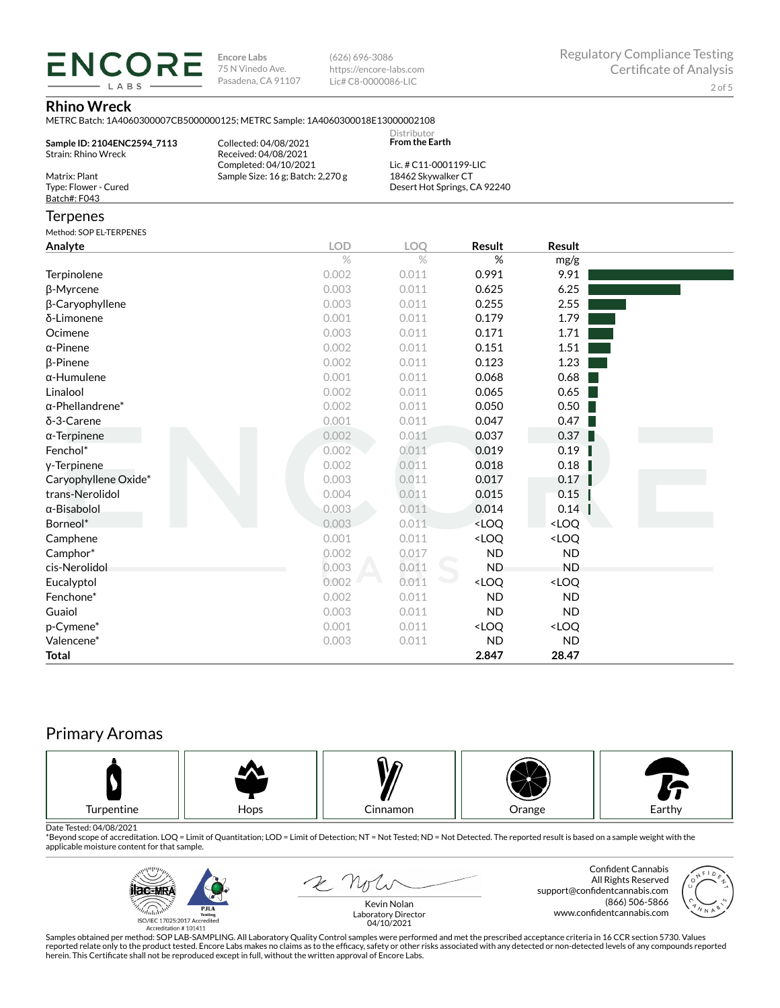**ENCORE Encore Labs** 75 N Vinedo Ave. Pasadena, CA 91107

(626) 696-3086 https://encore-labs.com Lic# C8-0000086-LIC

## **Rhino Wreck**

**IARS** 

|                                                       | METRC Batch: 1A4060300007CB5000000125; METRC Sample: 1A4060300018E13000002108 |                                              |                                                          |                              |  |
|-------------------------------------------------------|-------------------------------------------------------------------------------|----------------------------------------------|----------------------------------------------------------|------------------------------|--|
| Sample ID: 2104ENC2594 7113<br>Strain: Rhino Wreck    | Collected: 04/08/2021<br>Received: 04/08/2021                                 | Distributor<br><b>From the Earth</b>         |                                                          |                              |  |
| Matrix: Plant<br>Type: Flower - Cured<br>Batch#: F043 | Completed: 04/10/2021<br>Sample Size: 16 g; Batch: 2,270 g                    | Lic. # C11-0001199-LIC<br>18462 Skywalker CT | Desert Hot Springs, CA 92240                             |                              |  |
| Terpenes                                              |                                                                               |                                              |                                                          |                              |  |
| Method: SOP EL-TERPENES                               |                                                                               |                                              |                                                          |                              |  |
| Analyte                                               | <b>LOD</b>                                                                    | <b>LOO</b>                                   | Result                                                   | <b>Result</b>                |  |
|                                                       | $\%$                                                                          | $\%$                                         | %                                                        | mg/g                         |  |
| Terpinolene                                           | 0.002                                                                         | 0.011                                        | 0.991                                                    | 9.91                         |  |
| β-Myrcene                                             | 0.003                                                                         | 0.011                                        | 0.625                                                    | 6.25                         |  |
| β-Caryophyllene                                       | 0.003                                                                         | 0.011                                        | 0.255                                                    | 2.55                         |  |
| δ-Limonene                                            | 0.001                                                                         | 0.011                                        | 0.179                                                    | 1.79                         |  |
| Ocimene                                               | 0.003                                                                         | 0.011                                        | 0.171                                                    | 1.71                         |  |
| α-Pinene                                              | 0.002                                                                         | 0.011                                        | 0.151                                                    | 1.51                         |  |
| β-Pinene                                              | 0.002                                                                         | 0.011                                        | 0.123                                                    | 1.23                         |  |
| α-Humulene                                            | 0.001                                                                         | 0.011                                        | 0.068                                                    | 0.68                         |  |
| Linalool                                              | 0.002                                                                         | 0.011                                        | 0.065                                                    | 0.65                         |  |
| $\alpha$ -Phellandrene $^*$                           | 0.002                                                                         | 0.011                                        | 0.050                                                    | 0.50                         |  |
| δ-3-Carene                                            | 0.001                                                                         | 0.011                                        | 0.047                                                    | 0.47                         |  |
| α-Terpinene                                           | 0.002                                                                         | 0.011                                        | 0.037                                                    | 0.37                         |  |
| Fenchol*                                              | 0.002                                                                         | 0.011                                        | 0.019                                                    | 0.19                         |  |
| y-Terpinene                                           | 0.002                                                                         | 0.011                                        | 0.018                                                    | 0.18                         |  |
| Caryophyllene Oxide*                                  | 0.003                                                                         | 0.011                                        | 0.017                                                    | 0.17                         |  |
| trans-Nerolidol                                       | 0.004                                                                         | 0.011                                        | 0.015                                                    | 0.15                         |  |
| α-Bisabolol                                           | 0.003                                                                         | 0.011                                        | 0.014                                                    | 0.14                         |  |
| Borneol*                                              | 0.003                                                                         | 0.011                                        | <loq< td=""><td><loq< td=""><td></td></loq<></td></loq<> | <loq< td=""><td></td></loq<> |  |
| Camphene                                              | 0.001                                                                         | 0.011                                        | <loq< td=""><td><loq< td=""><td></td></loq<></td></loq<> | <loq< td=""><td></td></loq<> |  |
| Camphor*                                              | 0.002                                                                         | 0.017                                        | <b>ND</b>                                                | <b>ND</b>                    |  |
| cis-Nerolidol                                         | 0.003                                                                         | 0.011                                        | <b>ND</b>                                                | <b>ND</b>                    |  |
| Eucalyptol                                            | 0.002                                                                         | 0.011                                        | <loq< td=""><td><loq< td=""><td></td></loq<></td></loq<> | <loq< td=""><td></td></loq<> |  |
| Fenchone*                                             | 0.002                                                                         | 0.011                                        | <b>ND</b>                                                | <b>ND</b>                    |  |

# Primary Aromas



Date Tested: 04/08/2021<br>\*Beyond scope of accreditation. LOQ = Limit of Quantitation; LOD = Limit of Detection; NT = Not Tested; ND = Not Detected. The reported result is based on a sample weight with the applicable moisture content for that sample.

Guaiol 0.003 0.011 ND ND  $p$ -Cymene\*  $0.001$   $0.011$   $\times$  LOQ  $\times$  LOQ Valencene\* 0.003 0.011 ND ND **Total 2.847 28.47**



 $2N$ 

Confident Cannabis All Rights Reserved support@confidentcannabis.com (866) 506-5866 www.confidentcannabis.com



Kevin Nolan Laboratory Director 04/10/2021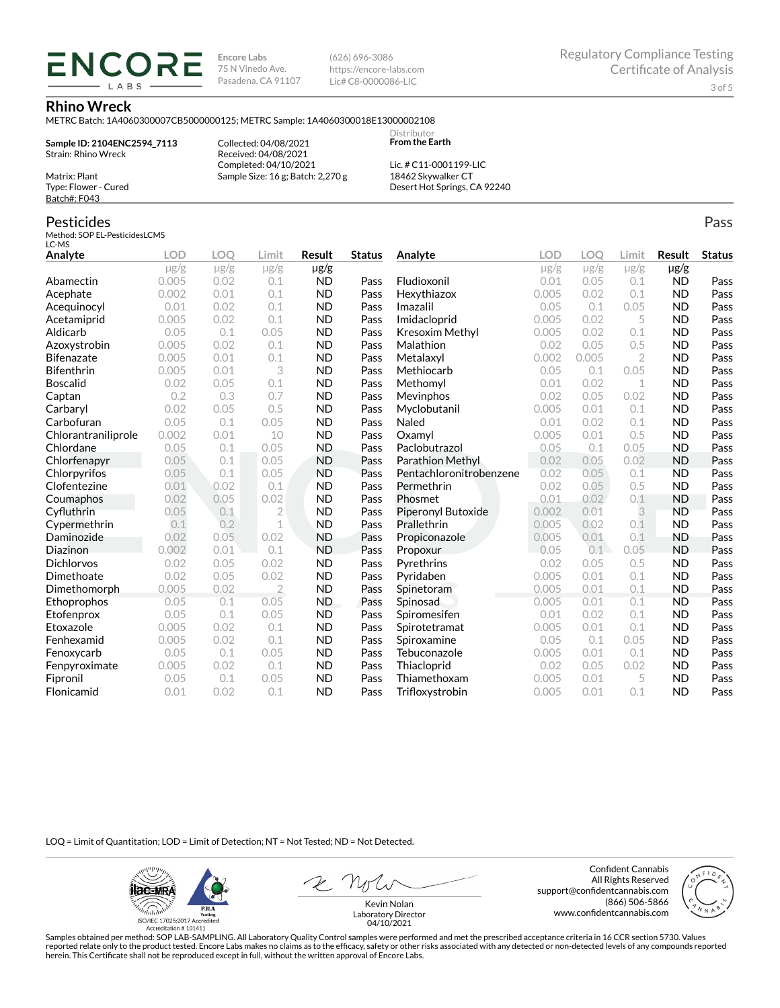**Encore Labs** 75 N Vinedo Ave. Pasadena, CA 91107 (626) 696-3086 https://encore-labs.com Lic# C8-0000086-LIC

> Distributor **From the Earth**

#### **Rhino Wreck**

METRC Batch: 1A4060300007CB5000000125; METRC Sample: 1A4060300018E13000002108

**Sample ID: 2104ENC2594\_7113** Strain: Rhino Wreck

**ENCOR** LABS

> Collected: 04/08/2021 Received: 04/08/2021 Completed: 04/10/2021 Sample Size: 16 g; Batch: 2,270 g

Lic. # C11-0001199-LIC 18462 Skywalker CT Desert Hot Springs, CA 92240

# Pesticides

Matrix: Plant Type: Flower - Cured Batch#: F043

Method: SOP EL-PesticidesLCMS LC-MS

| Analyte             | <b>LOD</b> | <b>LOO</b> | Limit          | Result    | <b>Status</b> | Analyte                 | <b>LOD</b> | LOO       | Limit          | <b>Result</b> | <b>Status</b> |
|---------------------|------------|------------|----------------|-----------|---------------|-------------------------|------------|-----------|----------------|---------------|---------------|
|                     | $\mu$ g/g  | $\mu$ g/g  | $\mu$ g/g      | µg/g      |               |                         | $\mu$ g/g  | $\mu$ g/g | $\mu$ g/g      | $\mu$ g/g     |               |
| Abamectin           | 0.005      | 0.02       | 0.1            | <b>ND</b> | Pass          | Fludioxonil             | 0.01       | 0.05      | 0.1            | <b>ND</b>     | Pass          |
| Acephate            | 0.002      | 0.01       | 0.1            | <b>ND</b> | Pass          | Hexythiazox             | 0.005      | 0.02      | 0.1            | <b>ND</b>     | Pass          |
| Acequinocyl         | 0.01       | 0.02       | 0.1            | <b>ND</b> | Pass          | Imazalil                | 0.05       | 0.1       | 0.05           | <b>ND</b>     | Pass          |
| Acetamiprid         | 0.005      | 0.02       | 0.1            | <b>ND</b> | Pass          | Imidacloprid            | 0.005      | 0.02      | 5              | <b>ND</b>     | Pass          |
| Aldicarb            | 0.05       | 0.1        | 0.05           | <b>ND</b> | Pass          | Kresoxim Methyl         | 0.005      | 0.02      | 0.1            | <b>ND</b>     | Pass          |
| Azoxystrobin        | 0.005      | 0.02       | 0.1            | <b>ND</b> | Pass          | Malathion               | 0.02       | 0.05      | 0.5            | <b>ND</b>     | Pass          |
| Bifenazate          | 0.005      | 0.01       | 0.1            | <b>ND</b> | Pass          | Metalaxyl               | 0.002      | 0.005     | $\overline{2}$ | <b>ND</b>     | Pass          |
| <b>Bifenthrin</b>   | 0.005      | 0.01       | 3              | <b>ND</b> | Pass          | Methiocarb              | 0.05       | 0.1       | 0.05           | <b>ND</b>     | Pass          |
| <b>Boscalid</b>     | 0.02       | 0.05       | 0.1            | <b>ND</b> | Pass          | Methomyl                | 0.01       | 0.02      | 1              | <b>ND</b>     | Pass          |
| Captan              | 0.2        | 0.3        | 0.7            | <b>ND</b> | Pass          | Mevinphos               | 0.02       | 0.05      | 0.02           | <b>ND</b>     | Pass          |
| Carbaryl            | 0.02       | 0.05       | 0.5            | <b>ND</b> | Pass          | Myclobutanil            | 0.005      | 0.01      | 0.1            | <b>ND</b>     | Pass          |
| Carbofuran          | 0.05       | 0.1        | 0.05           | <b>ND</b> | Pass          | Naled                   | 0.01       | 0.02      | 0.1            | <b>ND</b>     | Pass          |
| Chlorantraniliprole | 0.002      | 0.01       | 10             | <b>ND</b> | Pass          | Oxamyl                  | 0.005      | 0.01      | 0.5            | <b>ND</b>     | Pass          |
| Chlordane           | 0.05       | 0.1        | 0.05           | <b>ND</b> | Pass          | Paclobutrazol           | 0.05       | 0.1       | 0.05           | <b>ND</b>     | Pass          |
| Chlorfenapyr        | 0.05       | 0.1        | 0.05           | <b>ND</b> | Pass          | <b>Parathion Methyl</b> | 0.02       | 0.05      | 0.02           | <b>ND</b>     | Pass          |
| Chlorpyrifos        | 0.05       | 0.1        | 0.05           | <b>ND</b> | Pass          | Pentachloronitrobenzene | 0.02       | 0.05      | 0.1            | <b>ND</b>     | Pass          |
| Clofentezine        | 0.01       | 0.02       | 0.1            | <b>ND</b> | Pass          | Permethrin              | 0.02       | 0.05      | 0.5            | <b>ND</b>     | Pass          |
| Coumaphos           | 0.02       | 0.05       | 0.02           | <b>ND</b> | Pass          | Phosmet                 | 0.01       | 0.02      | 0.1            | <b>ND</b>     | Pass          |
| Cyfluthrin          | 0.05       | 0.1        | $\overline{2}$ | <b>ND</b> | Pass          | Piperonyl Butoxide      | 0.002      | 0.01      | 3              | <b>ND</b>     | Pass          |
| Cypermethrin        | 0.1        | 0.2        | $\mathbf 1$    | <b>ND</b> | Pass          | Prallethrin             | 0.005      | 0.02      | 0.1            | <b>ND</b>     | Pass          |
| Daminozide          | 0.02       | 0.05       | 0.02           | <b>ND</b> | Pass          | Propiconazole           | 0.005      | 0.01      | 0.1            | <b>ND</b>     | Pass          |
| Diazinon            | 0.002      | 0.01       | 0.1            | <b>ND</b> | Pass          | Propoxur                | 0.05       | 0.1       | 0.05           | <b>ND</b>     | Pass          |
| <b>Dichlorvos</b>   | 0.02       | 0.05       | 0.02           | <b>ND</b> | Pass          | Pyrethrins              | 0.02       | 0.05      | 0.5            | <b>ND</b>     | Pass          |
| Dimethoate          | 0.02       | 0.05       | 0.02           | <b>ND</b> | Pass          | Pyridaben               | 0.005      | 0.01      | 0.1            | <b>ND</b>     | Pass          |
| Dimethomorph        | 0.005      | 0.02       | $\overline{2}$ | <b>ND</b> | Pass          | Spinetoram              | 0.005      | 0.01      | 0.1            | <b>ND</b>     | Pass          |
| Ethoprophos         | 0.05       | 0.1        | 0.05           | <b>ND</b> | Pass          | Spinosad                | 0.005      | 0.01      | 0.1            | <b>ND</b>     | Pass          |
| Etofenprox          | 0.05       | 0.1        | 0.05           | <b>ND</b> | Pass          | Spiromesifen            | 0.01       | 0.02      | 0.1            | <b>ND</b>     | Pass          |
| Etoxazole           | 0.005      | 0.02       | 0.1            | <b>ND</b> | Pass          | Spirotetramat           | 0.005      | 0.01      | 0.1            | <b>ND</b>     | Pass          |
| Fenhexamid          | 0.005      | 0.02       | 0.1            | <b>ND</b> | Pass          | Spiroxamine             | 0.05       | 0.1       | 0.05           | <b>ND</b>     | Pass          |
| Fenoxycarb          | 0.05       | 0.1        | 0.05           | <b>ND</b> | Pass          | Tebuconazole            | 0.005      | 0.01      | 0.1            | <b>ND</b>     | Pass          |
| Fenpyroximate       | 0.005      | 0.02       | 0.1            | <b>ND</b> | Pass          | Thiacloprid             | 0.02       | 0.05      | 0.02           | <b>ND</b>     | Pass          |
| Fipronil            | 0.05       | 0.1        | 0.05           | <b>ND</b> | Pass          | Thiamethoxam            | 0.005      | 0.01      | 5              | <b>ND</b>     | Pass          |
| Flonicamid          | 0.01       | 0.02       | 0.1            | <b>ND</b> | Pass          | Trifloxystrobin         | 0.005      | 0.01      | 0.1            | <b>ND</b>     | Pass          |

LOQ = Limit of Quantitation; LOD = Limit of Detection; NT = Not Tested; ND = Not Detected.

**ilac-MRA PJLA**  $d_{\rm thbb}$ ISO/IEC 17025:2017 Ac

Accreditation #101411

Confident Cannabis All Rights Reserved support@confidentcannabis.com (866) 506-5866 www.confidentcannabis.com



Kevin Nolan Laboratory Director 04/10/2021

Samples obtained per method: SOP LAB-SAMPLING. All Laboratory Quality Control samples were performed and met the prescribed acceptance criteria in 16 CCR section 5730. Values reported relate only to the product tested. Encore Labs makes no claims as to the efficacy, safety or other risks associated with any detected or non-detected levels of any compounds reported<br>herein. This Certificate shall

Pass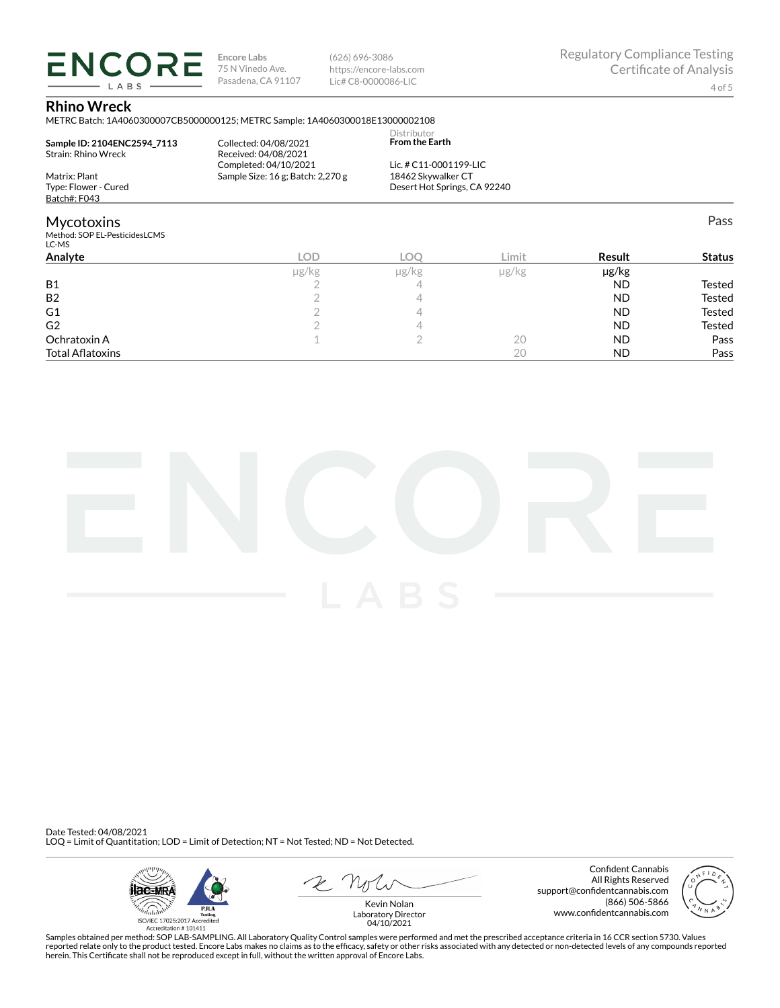**ENCORE** LABS

**Encore Labs** 75 N Vinedo Ave. Pasadena, CA 91107 (626) 696-3086 https://encore-labs.com Lic# C8-0000086-LIC

Pass

## **Rhino Wreck**

METRC Batch: 1A4060300007CB5000000125; METRC Sample: 1A4060300018E13000002108

|                                          |                                   | Distributor                  |  |
|------------------------------------------|-----------------------------------|------------------------------|--|
| Sample ID: 2104ENC2594 7113              | Collected: 04/08/2021             | <b>From the Earth</b>        |  |
| Strain: Rhino Wreck                      | Received: 04/08/2021              |                              |  |
|                                          | Completed: 04/10/2021             | Lic. # C11-0001199-LIC       |  |
| Matrix: Plant                            | Sample Size: 16 g; Batch: 2,270 g | 18462 Skywalker CT           |  |
| Type: Flower - Cured                     |                                   | Desert Hot Springs, CA 92240 |  |
| Batch#: F043                             |                                   |                              |  |
| <b>Mycotoxins</b>                        |                                   |                              |  |
| Method: SOP EL-PesticidesLCMS<br>$LC$ MC |                                   |                              |  |

| ייי ש                   |            |            |               |               |               |
|-------------------------|------------|------------|---------------|---------------|---------------|
| Analyte                 | <b>LOD</b> | <b>LOC</b> | Limit         | <b>Result</b> | <b>Status</b> |
|                         | µg/kg      | µg/kg      | $\mu$ g/ $kg$ | µg/kg         |               |
| <b>B1</b>               |            | ∸          |               | <b>ND</b>     | Tested        |
| <b>B2</b>               |            |            |               | <b>ND</b>     | Tested        |
| G <sub>1</sub>          |            |            |               | <b>ND</b>     | Tested        |
| G <sub>2</sub>          |            |            |               | <b>ND</b>     | Tested        |
| Ochratoxin A            |            |            | 20            | <b>ND</b>     | Pass          |
| <b>Total Aflatoxins</b> |            |            | 20            | <b>ND</b>     | Pass          |



Date Tested: 04/08/2021 LOQ = Limit of Quantitation; LOD = Limit of Detection; NT = Not Tested; ND = Not Detected.



Confident Cannabis All Rights Reserved support@confidentcannabis.com (866) 506-5866 www.confidentcannabis.com



Kevin Nolan Laboratory Director 04/10/2021